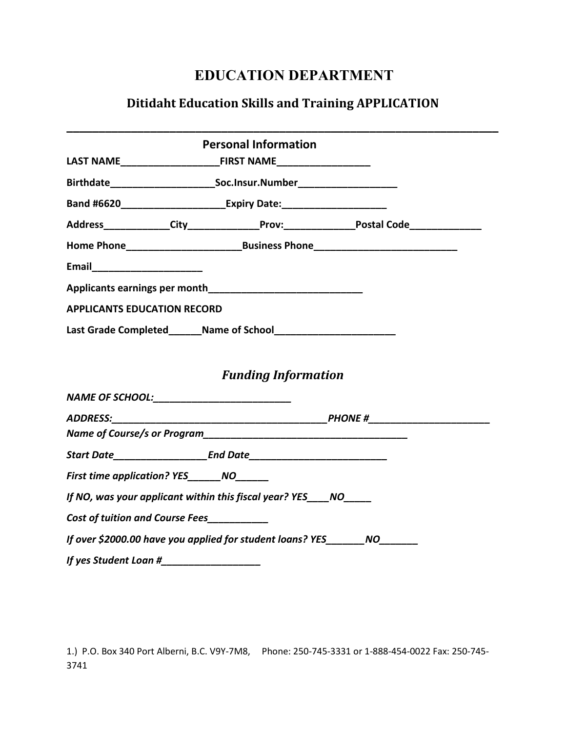## **EDUCATION DEPARTMENT**

## **Ditidaht Education Skills and Training APPLICATION**

|                                            |  | <b>Personal Information</b>                                                                         |  |  |
|--------------------------------------------|--|-----------------------------------------------------------------------------------------------------|--|--|
|                                            |  |                                                                                                     |  |  |
|                                            |  |                                                                                                     |  |  |
|                                            |  |                                                                                                     |  |  |
|                                            |  | Address______________City________________Prov:___________________Postal Code_______________________ |  |  |
|                                            |  |                                                                                                     |  |  |
| Email ________________________             |  |                                                                                                     |  |  |
|                                            |  | Applicants earnings per month <b>Applicants</b> earnings are month                                  |  |  |
| <b>APPLICANTS EDUCATION RECORD</b>         |  |                                                                                                     |  |  |
|                                            |  |                                                                                                     |  |  |
| NAME OF SCHOOL:___________________________ |  | <b>Funding Information</b>                                                                          |  |  |
|                                            |  |                                                                                                     |  |  |
|                                            |  |                                                                                                     |  |  |
|                                            |  |                                                                                                     |  |  |
| First time application? YES _______ NO     |  |                                                                                                     |  |  |
|                                            |  | If NO, was your applicant within this fiscal year? YES NO                                           |  |  |
| <b>Cost of tuition and Course Fees</b>     |  |                                                                                                     |  |  |
|                                            |  | If over \$2000.00 have you applied for student loans? YES_______NO_______                           |  |  |
|                                            |  |                                                                                                     |  |  |

1.) P.O. Box 340 Port Alberni, B.C. V9Y-7M8, Phone: 250-745-3331 or 1-888-454-0022 Fax: 250-745-3741